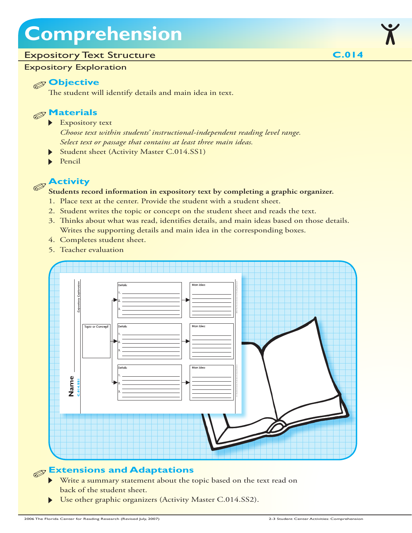## **Comprehension**

#### Expository Text Structure

#### Expository Exploration

#### **Objective**

The student will identify details and main idea in text.



- Expository text *Choose text within students' instructional-independent reading level range. Select text or passage that contains at least three main ideas.*
- Student sheet (Activity Master C.014.SS1)
- Pencil

#### **Activity**  $\mathscr{D}$

#### **Students record information in expository text by completing a graphic organizer.**

- 1. Place text at the center. Provide the student with a student sheet.
- 2. Student writes the topic or concept on the student sheet and reads the text.
- 3. Thinks about what was read, identifies details, and main ideas based on those details. Writes the supporting details and main idea in the corresponding boxes.
- 4. Completes student sheet.
- 5. Teacher evaluation



#### **Extensions and Adaptations**

- Write a summary statement about the topic based on the text read on back of the student sheet.
- Use other graphic organizers (Activity Master C.014.SS2).

**C.014**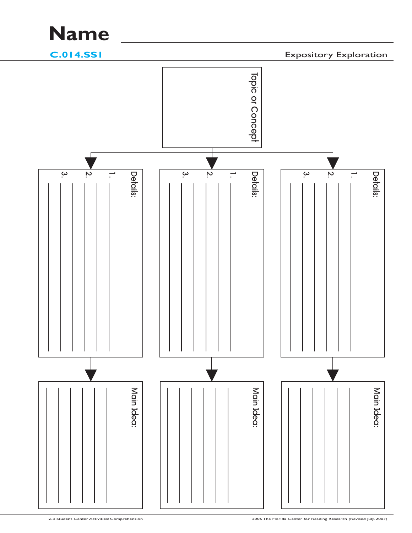### **Name**

**C.014.SS1**

Expository Exploration